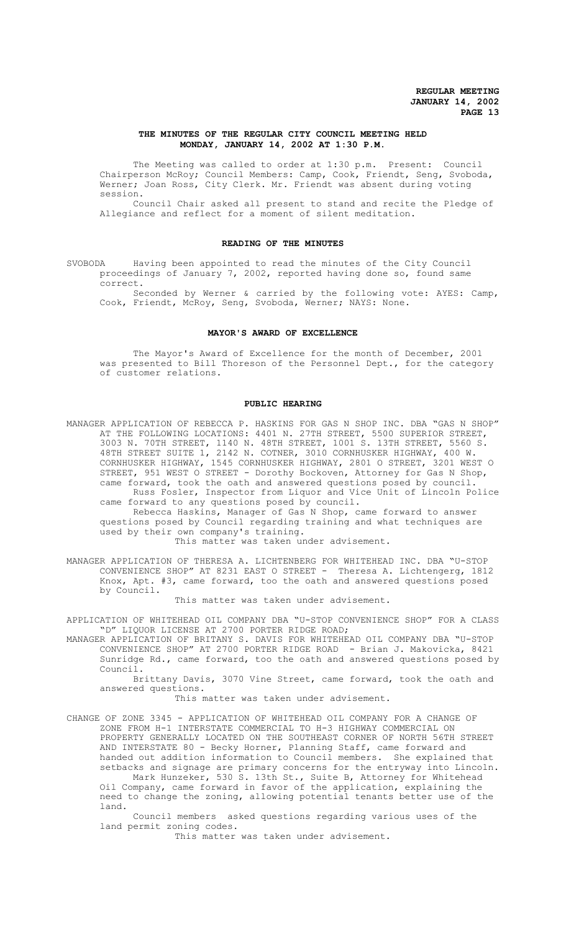# **THE MINUTES OF THE REGULAR CITY COUNCIL MEETING HELD MONDAY, JANUARY 14, 2002 AT 1:30 P.M.**

The Meeting was called to order at 1:30 p.m. Present: Council Chairperson McRoy; Council Members: Camp, Cook, Friendt, Seng, Svoboda, Werner; Joan Ross, City Clerk. Mr. Friendt was absent during voting session.

Council Chair asked all present to stand and recite the Pledge of Allegiance and reflect for a moment of silent meditation.

# **READING OF THE MINUTES**

SVOBODA Having been appointed to read the minutes of the City Council proceedings of January 7, 2002, reported having done so, found same correct.

Seconded by Werner & carried by the following vote: AYES: Camp, Cook, Friendt, McRoy, Seng, Svoboda, Werner; NAYS: None.

# **MAYOR'S AWARD OF EXCELLENCE**

The Mayor's Award of Excellence for the month of December, 2001 was presented to Bill Thoreson of the Personnel Dept., for the category of customer relations.

#### **PUBLIC HEARING**

MANAGER APPLICATION OF REBECCA P. HASKINS FOR GAS N SHOP INC. DBA "GAS N SHOP" AT THE FOLLOWING LOCATIONS: 4401 N. 27TH STREET, 5500 SUPERIOR STREET, 3003 N. 70TH STREET, 1140 N. 48TH STREET, 1001 S. 13TH STREET, 5560 S. 48TH STREET SUITE 1, 2142 N. COTNER, 3010 CORNHUSKER HIGHWAY, 400 W. CORNHUSKER HIGHWAY, 1545 CORNHUSKER HIGHWAY, 2801 O STREET, 3201 WEST O STREET, 951 WEST O STREET - Dorothy Bockoven, Attorney for Gas N Shop, came forward, took the oath and answered questions posed by council. Russ Fosler, Inspector from Liquor and Vice Unit of Lincoln Police came forward to any questions posed by council.

Rebecca Haskins, Manager of Gas N Shop, came forward to answer questions posed by Council regarding training and what techniques are used by their own company's training.

This matter was taken under advisement.

MANAGER APPLICATION OF THERESA A. LICHTENBERG FOR WHITEHEAD INC. DBA "U-STOP CONVENIENCE SHOP" AT 8231 EAST O STREET - Theresa A. Lichtengerg, 1812 Knox, Apt. #3, came forward, too the oath and answered questions posed by Council.

This matter was taken under advisement.

APPLICATION OF WHITEHEAD OIL COMPANY DBA "U-STOP CONVENIENCE SHOP" FOR A CLASS "D" LIQUOR LICENSE AT 2700 PORTER RIDGE ROAD;

MANAGER APPLICATION OF BRITANY S. DAVIS FOR WHITEHEAD OIL COMPANY DBA "U-STOP CONVENIENCE SHOP" AT 2700 PORTER RIDGE ROAD - Brian J. Makovicka, 8421 Sunridge Rd., came forward, too the oath and answered questions posed by Council.

Brittany Davis, 3070 Vine Street, came forward, took the oath and answered questions.

### This matter was taken under advisement.

CHANGE OF ZONE 3345 - APPLICATION OF WHITEHEAD OIL COMPANY FOR A CHANGE OF ZONE FROM H-1 INTERSTATE COMMERCIAL TO H-3 HIGHWAY COMMERCIAL ON PROPERTY GENERALLY LOCATED ON THE SOUTHEAST CORNER OF NORTH 56TH STREET AND INTERSTATE 80 - Becky Horner, Planning Staff, came forward and handed out addition information to Council members. She explained that setbacks and signage are primary concerns for the entryway into Lincoln. Mark Hunzeker, 530 S. 13th St., Suite B, Attorney for Whitehead Oil Company, came forward in favor of the application, explaining the

need to change the zoning, allowing potential tenants better use of the land. Council members asked questions regarding various uses of the

land permit zoning codes.

This matter was taken under advisement.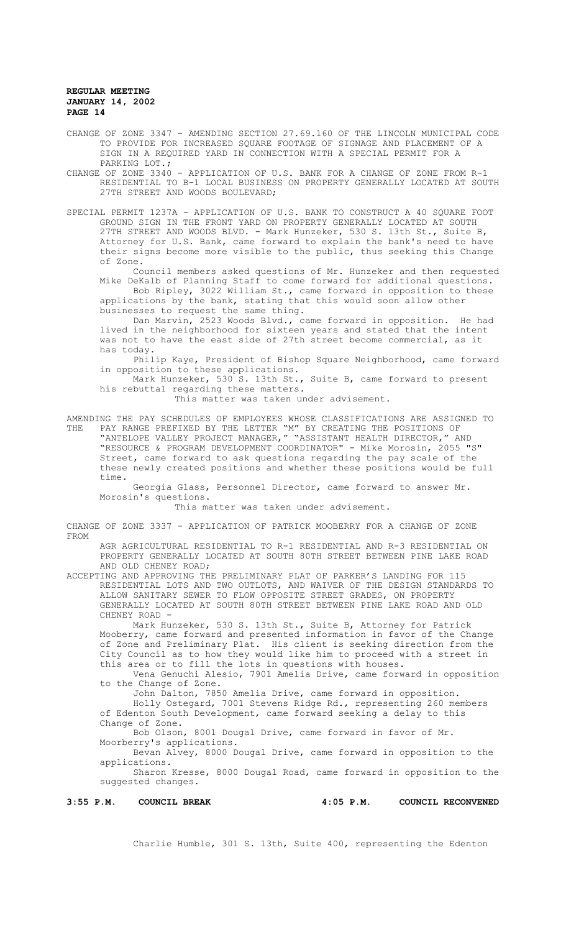CHANGE OF ZONE 3347 - AMENDING SECTION 27.69.160 OF THE LINCOLN MUNICIPAL CODE TO PROVIDE FOR INCREASED SQUARE FOOTAGE OF SIGNAGE AND PLACEMENT OF A SIGN IN A REQUIRED YARD IN CONNECTION WITH A SPECIAL PERMIT FOR A PARKING LOT.;

CHANGE OF ZONE 3340 - APPLICATION OF U.S. BANK FOR A CHANGE OF ZONE FROM R-1 RESIDENTIAL TO B-1 LOCAL BUSINESS ON PROPERTY GENERALLY LOCATED AT SOUTH 27TH STREET AND WOODS BOULEVARD;

SPECIAL PERMIT 1237A - APPLICATION OF U.S. BANK TO CONSTRUCT A 40 SQUARE FOOT GROUND SIGN IN THE FRONT YARD ON PROPERTY GENERALLY LOCATED AT SOUTH 27TH STREET AND WOODS BLVD. - Mark Hunzeker, 530 S. 13th St., Suite B, Attorney for U.S. Bank, came forward to explain the bank's need to have their signs become more visible to the public, thus seeking this Change of Zone.

Council members asked questions of Mr. Hunzeker and then requested Mike DeKalb of Planning Staff to come forward for additional questions. Bob Ripley, 3022 William St., came forward in opposition to these

applications by the bank, stating that this would soon allow other businesses to request the same thing.

Dan Marvin, 2523 Woods Blvd., came forward in opposition. He had lived in the neighborhood for sixteen years and stated that the intent was not to have the east side of 27th street become commercial, as it has today.

Philip Kaye, President of Bishop Square Neighborhood, came forward in opposition to these applications.

Mark Hunzeker, 530 S. 13th St., Suite B, came forward to present his rebuttal regarding these matters.

This matter was taken under advisement.

AMENDING THE PAY SCHEDULES OF EMPLOYEES WHOSE CLASSIFICATIONS ARE ASSIGNED TO<br>THE PAY RANGE PREFIXED BY THE LETTER "M" BY CREATING THE POSITIONS OF THE PAY RANGE PREFIXED BY THE LETTER "M" BY CREATING THE POSITIONS OF "ANTELOPE VALLEY PROJECT MANAGER," "ASSISTANT HEALTH DIRECTOR," AND "RESOURCE & PROGRAM DEVELOPMENT COORDINATOR" - Mike Morosin, 2055 "S" Street, came forward to ask questions regarding the pay scale of the these newly created positions and whether these positions would be full time.

Georgia Glass, Personnel Director, came forward to answer Mr. Morosin's questions.

This matter was taken under advisement.

CHANGE OF ZONE 3337 - APPLICATION OF PATRICK MOOBERRY FOR A CHANGE OF ZONE FROM

AGR AGRICULTURAL RESIDENTIAL TO R-1 RESIDENTIAL AND R-3 RESIDENTIAL ON PROPERTY GENERALLY LOCATED AT SOUTH 80TH STREET BETWEEN PINE LAKE ROAD AND OLD CHENEY ROAD;

ACCEPTING AND APPROVING THE PRELIMINARY PLAT OF PARKER'S LANDING FOR 115 RESIDENTIAL LOTS AND TWO OUTLOTS, AND WAIVER OF THE DESIGN STANDARDS TO ALLOW SANITARY SEWER TO FLOW OPPOSITE STREET GRADES, ON PROPERTY GENERALLY LOCATED AT SOUTH 80TH STREET BETWEEN PINE LAKE ROAD AND OLD CHENEY ROAD -

Mark Hunzeker, 530 S. 13th St., Suite B, Attorney for Patrick Mooberry, came forward and presented information in favor of the Change of Zone and Preliminary Plat. His client is seeking direction from the City Council as to how they would like him to proceed with a street in this area or to fill the lots in questions with houses.

Vena Genuchi Alesio, 7901 Amelia Drive, came forward in opposition to the Change of Zone.

John Dalton, 7850 Amelia Drive, came forward in opposition. Holly Ostegard, 7001 Stevens Ridge Rd., representing 260 members of Edenton South Development, came forward seeking a delay to this

Change of Zone.

Bob Olson, 8001 Dougal Drive, came forward in favor of Mr. Moorberry's applications.

Bevan Alvey, 8000 Dougal Drive, came forward in opposition to the applications.

Sharon Kresse, 8000 Dougal Road, came forward in opposition to the suggested changes.

**3:55 P.M. COUNCIL BREAK 4:05 P.M. COUNCIL RECONVENED**

Charlie Humble, 301 S. 13th, Suite 400, representing the Edenton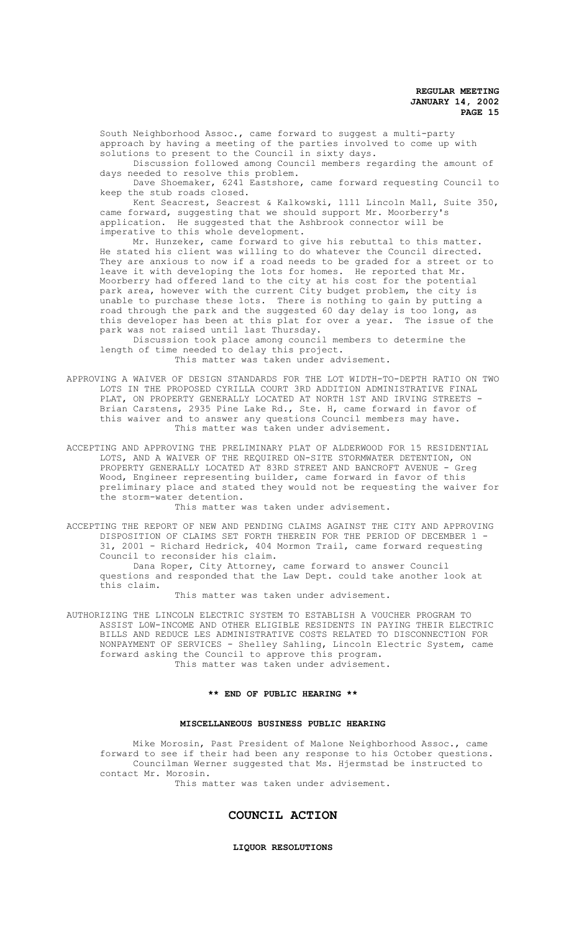South Neighborhood Assoc., came forward to suggest a multi-party approach by having a meeting of the parties involved to come up with solutions to present to the Council in sixty days.

Discussion followed among Council members regarding the amount of days needed to resolve this problem.

Dave Shoemaker, 6241 Eastshore, came forward requesting Council to keep the stub roads closed.

Kent Seacrest, Seacrest & Kalkowski, 1111 Lincoln Mall, Suite 350, came forward, suggesting that we should support Mr. Moorberry's application. He suggested that the Ashbrook connector will be imperative to this whole development.

Mr. Hunzeker, came forward to give his rebuttal to this matter. He stated his client was willing to do whatever the Council directed. They are anxious to now if a road needs to be graded for a street or to leave it with developing the lots for homes. He reported that Mr. Moorberry had offered land to the city at his cost for the potential park area, however with the current City budget problem, the city is unable to purchase these lots. There is nothing to gain by putting a road through the park and the suggested 60 day delay is too long, as this developer has been at this plat for over a year. The issue of the park was not raised until last Thursday.

Discussion took place among council members to determine the length of time needed to delay this project.

This matter was taken under advisement.

APPROVING A WAIVER OF DESIGN STANDARDS FOR THE LOT WIDTH-TO-DEPTH RATIO ON TWO LOTS IN THE PROPOSED CYRILLA COURT 3RD ADDITION ADMINISTRATIVE FINAL PLAT, ON PROPERTY GENERALLY LOCATED AT NORTH 1ST AND IRVING STREETS -Brian Carstens, 2935 Pine Lake Rd., Ste. H, came forward in favor of this waiver and to answer any questions Council members may have. This matter was taken under advisement.

ACCEPTING AND APPROVING THE PRELIMINARY PLAT OF ALDERWOOD FOR 15 RESIDENTIAL LOTS, AND A WAIVER OF THE REQUIRED ON-SITE STORMWATER DETENTION, ON PROPERTY GENERALLY LOCATED AT 83RD STREET AND BANCROFT AVENUE - Greg Wood, Engineer representing builder, came forward in favor of this preliminary place and stated they would not be requesting the waiver for the storm-water detention.

This matter was taken under advisement.

ACCEPTING THE REPORT OF NEW AND PENDING CLAIMS AGAINST THE CITY AND APPROVING DISPOSITION OF CLAIMS SET FORTH THEREIN FOR THE PERIOD OF DECEMBER 1 - 31, 2001 - Richard Hedrick, 404 Mormon Trail, came forward requesting Council to reconsider his claim. Dana Roper, City Attorney, came forward to answer Council

questions and responded that the Law Dept. could take another look at this claim.

This matter was taken under advisement.

AUTHORIZING THE LINCOLN ELECTRIC SYSTEM TO ESTABLISH A VOUCHER PROGRAM TO ASSIST LOW-INCOME AND OTHER ELIGIBLE RESIDENTS IN PAYING THEIR ELECTRIC BILLS AND REDUCE LES ADMINISTRATIVE COSTS RELATED TO DISCONNECTION FOR NONPAYMENT OF SERVICES - Shelley Sahling, Lincoln Electric System, came forward asking the Council to approve this program. This matter was taken under advisement.

# **\*\* END OF PUBLIC HEARING \*\***

### **MISCELLANEOUS BUSINESS PUBLIC HEARING**

Mike Morosin, Past President of Malone Neighborhood Assoc., came forward to see if their had been any response to his October questions. Councilman Werner suggested that Ms. Hjermstad be instructed to contact Mr. Morosin.

This matter was taken under advisement.

# **COUNCIL ACTION**

## **LIQUOR RESOLUTIONS**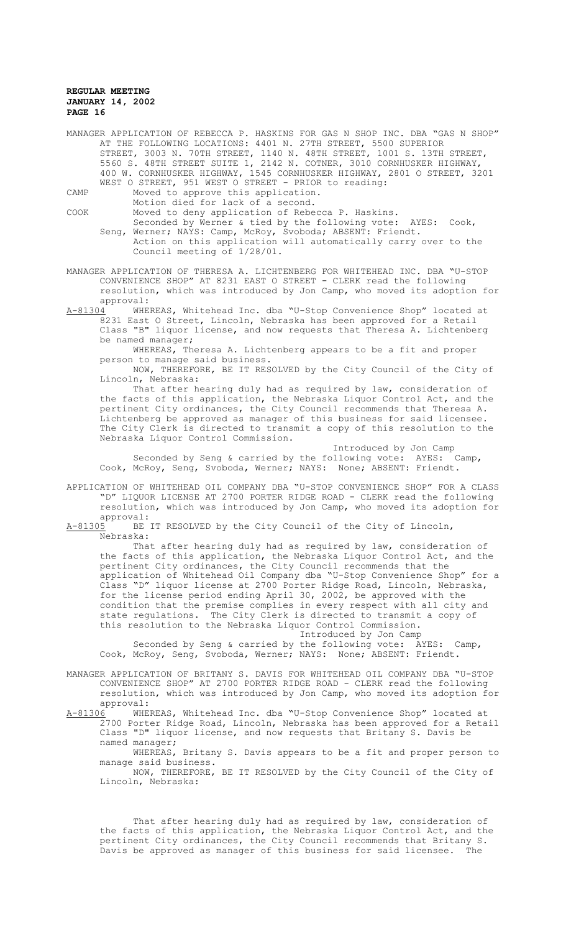|      | MANAGER APPLICATION OF REBECCA P. HASKINS FOR GAS N SHOP INC. DBA "GAS N SHOP" |
|------|--------------------------------------------------------------------------------|
|      | AT THE FOLLOWING LOCATIONS: 4401 N. 27TH STREET, 5500 SUPERIOR                 |
|      | STREET, 3003 N. 70TH STREET, 1140 N. 48TH STREET, 1001 S. 13TH STREET,         |
|      | 5560 S. 48TH STREET SUITE 1, 2142 N. COTNER, 3010 CORNHUSKER HIGHWAY,          |
|      | 400 W. CORNHUSKER HIGHWAY, 1545 CORNHUSKER HIGHWAY, 2801 O STREET, 3201        |
|      | WEST O STREET, 951 WEST O STREET - PRIOR to reading:                           |
| CAMP | Moved to approve this application.                                             |

Motion died for lack of a second.

COOK Moved to deny application of Rebecca P. Haskins.

- Seconded by Werner & tied by the following vote: AYES: Cook, Seng, Werner; NAYS: Camp, McRoy, Svoboda; ABSENT: Friendt. Action on this application will automatically carry over to the Council meeting of 1/28/01.
- MANAGER APPLICATION OF THERESA A. LICHTENBERG FOR WHITEHEAD INC. DBA "U-STOP CONVENIENCE SHOP" AT 8231 EAST O STREET - CLERK read the following resolution, which was introduced by Jon Camp, who moved its adoption for
- approval:<br>A-81304 WHE A-81304 MHEREAS, Whitehead Inc. dba "U-Stop Convenience Shop" located at 8231 East O Street, Lincoln, Nebraska has been approved for a Retail Class "B" liquor license, and now requests that Theresa A. Lichtenberg be named manager;

WHEREAS, Theresa A. Lichtenberg appears to be a fit and proper person to manage said business.

NOW, THEREFORE, BE IT RESOLVED by the City Council of the City of Lincoln, Nebraska:

That after hearing duly had as required by law, consideration of the facts of this application, the Nebraska Liquor Control Act, and the pertinent City ordinances, the City Council recommends that Theresa A. Lichtenberg be approved as manager of this business for said licensee. The City Clerk is directed to transmit a copy of this resolution to the Nebraska Liquor Control Commission.

Introduced by Jon Camp<br>bllowing vote: AYES: Camp, Seconded by Seng & carried by the following vote: AYES: Camp, Cook, McRoy, Seng, Svoboda, Werner; NAYS: None; ABSENT: Friendt.

APPLICATION OF WHITEHEAD OIL COMPANY DBA "U-STOP CONVENIENCE SHOP" FOR A CLASS "D" LIQUOR LICENSE AT 2700 PORTER RIDGE ROAD - CLERK read the following resolution, which was introduced by Jon Camp, who moved its adoption for approval:<br>A-81305 BE

BE IT RESOLVED by the City Council of the City of Lincoln, Nebraska:

That after hearing duly had as required by law, consideration of the facts of this application, the Nebraska Liquor Control Act, and the pertinent City ordinances, the City Council recommends that the application of Whitehead Oil Company dba "U-Stop Convenience Shop" for a Class "D" liquor license at 2700 Porter Ridge Road, Lincoln, Nebraska, for the license period ending April 30, 2002, be approved with the condition that the premise complies in every respect with all city and state regulations. The City Clerk is directed to transmit a copy of this resolution to the Nebraska Liquor Control Commission.

Introduced by Jon Camp

Seconded by Seng & carried by the following vote: AYES: Camp, Cook, McRoy, Seng, Svoboda, Werner; NAYS: None; ABSENT: Friendt.

MANAGER APPLICATION OF BRITANY S. DAVIS FOR WHITEHEAD OIL COMPANY DBA "U-STOP CONVENIENCE SHOP" AT 2700 PORTER RIDGE ROAD - CLERK read the following resolution, which was introduced by Jon Camp, who moved its adoption for approval:<br>A-81306 WHE

WHEREAS, Whitehead Inc. dba "U-Stop Convenience Shop" located at 2700 Porter Ridge Road, Lincoln, Nebraska has been approved for a Retail Class "D" liquor license, and now requests that Britany S. Davis be named manager;

WHEREAS, Britany S. Davis appears to be a fit and proper person to manage said business.

NOW, THEREFORE, BE IT RESOLVED by the City Council of the City of Lincoln, Nebraska:

That after hearing duly had as required by law, consideration of the facts of this application, the Nebraska Liquor Control Act, and the pertinent City ordinances, the City Council recommends that Britany S. Davis be approved as manager of this business for said licensee. The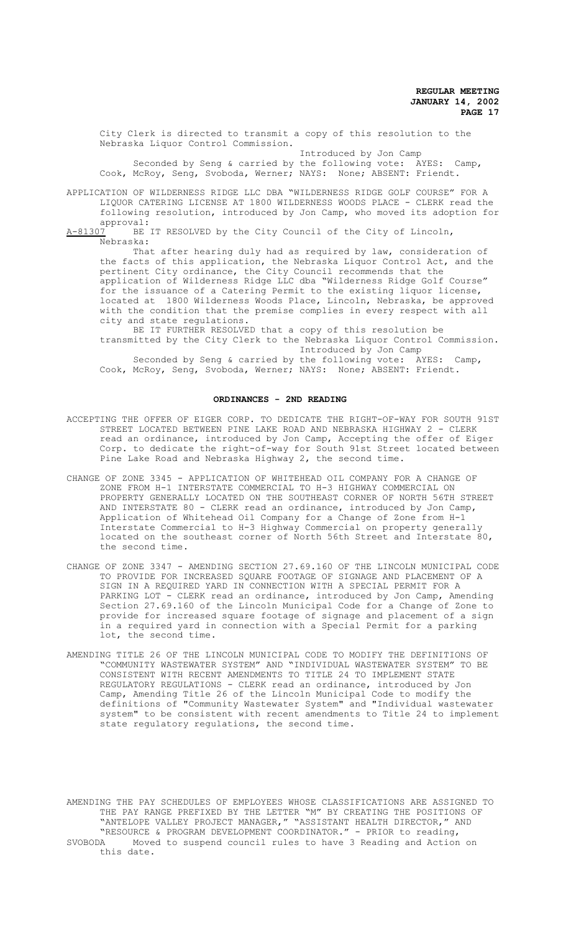City Clerk is directed to transmit a copy of this resolution to the Nebraska Liquor Control Commission.

Introduced by Jon Camp

Seconded by Seng & carried by the following vote: AYES: Camp, Cook, McRoy, Seng, Svoboda, Werner; NAYS: None; ABSENT: Friendt.

APPLICATION OF WILDERNESS RIDGE LLC DBA "WILDERNESS RIDGE GOLF COURSE" FOR A LIQUOR CATERING LICENSE AT 1800 WILDERNESS WOODS PLACE - CLERK read the following resolution, introduced by Jon Camp, who moved its adoption for approval:<br><u>A-81307</u> BE

BE IT RESOLVED by the City Council of the City of Lincoln, Nebraska:

That after hearing duly had as required by law, consideration of the facts of this application, the Nebraska Liquor Control Act, and the pertinent City ordinance, the City Council recommends that the .<br>application of Wilderness Ridge LLC dba "Wilderness Ridge Golf Course" for the issuance of a Catering Permit to the existing liquor license, located at 1800 Wilderness Woods Place, Lincoln, Nebraska, be approved with the condition that the premise complies in every respect with all city and state regulations.

BE IT FURTHER RESOLVED that a copy of this resolution be transmitted by the City Clerk to the Nebraska Liquor Control Commission. Introduced by Jon Camp

Seconded by Seng & carried by the following vote: AYES: Camp, Cook, McRoy, Seng, Svoboda, Werner; NAYS: None; ABSENT: Friendt.

#### **ORDINANCES - 2ND READING**

- ACCEPTING THE OFFER OF EIGER CORP. TO DEDICATE THE RIGHT-OF-WAY FOR SOUTH 91ST STREET LOCATED BETWEEN PINE LAKE ROAD AND NEBRASKA HIGHWAY 2 - CLERK read an ordinance, introduced by Jon Camp, Accepting the offer of Eiger Corp. to dedicate the right-of-way for South 91st Street located between Pine Lake Road and Nebraska Highway 2, the second time.
- CHANGE OF ZONE 3345 APPLICATION OF WHITEHEAD OIL COMPANY FOR A CHANGE OF ZONE FROM H-1 INTERSTATE COMMERCIAL TO H-3 HIGHWAY COMMERCIAL ON PROPERTY GENERALLY LOCATED ON THE SOUTHEAST CORNER OF NORTH 56TH STREET AND INTERSTATE 80 - CLERK read an ordinance, introduced by Jon Camp, Application of Whitehead Oil Company for a Change of Zone from H-1 Interstate Commercial to H-3 Highway Commercial on property generally located on the southeast corner of North 56th Street and Interstate 80, the second time.
- CHANGE OF ZONE 3347 AMENDING SECTION 27.69.160 OF THE LINCOLN MUNICIPAL CODE TO PROVIDE FOR INCREASED SQUARE FOOTAGE OF SIGNAGE AND PLACEMENT OF A SIGN IN A REQUIRED YARD IN CONNECTION WITH A SPECIAL PERMIT FOR A PARKING LOT - CLERK read an ordinance, introduced by Jon Camp, Amending Section 27.69.160 of the Lincoln Municipal Code for a Change of Zone to provide for increased square footage of signage and placement of a sign in a required yard in connection with a Special Permit for a parking lot, the second time.
- AMENDING TITLE 26 OF THE LINCOLN MUNICIPAL CODE TO MODIFY THE DEFINITIONS OF "COMMUNITY WASTEWATER SYSTEM" AND "INDIVIDUAL WASTEWATER SYSTEM" TO BE CONSISTENT WITH RECENT AMENDMENTS TO TITLE 24 TO IMPLEMENT STATE REGULATORY REGULATIONS - CLERK read an ordinance, introduced by Jon Camp, Amending Title 26 of the Lincoln Municipal Code to modify the definitions of "Community Wastewater System" and "Individual wastewater system" to be consistent with recent amendments to Title 24 to implement state regulatory regulations, the second time.

AMENDING THE PAY SCHEDULES OF EMPLOYEES WHOSE CLASSIFICATIONS ARE ASSIGNED TO THE PAY RANGE PREFIXED BY THE LETTER "M" BY CREATING THE POSITIONS OF "ANTELOPE VALLEY PROJECT MANAGER," "ASSISTANT HEALTH DIRECTOR," AND "RESOURCE & PROGRAM DEVELOPMENT COORDINATOR." - PRIOR to reading,<br>SVOBODA Moved to suspend council rules to have 3 Reading and Action Moved to suspend council rules to have 3 Reading and Action on this date.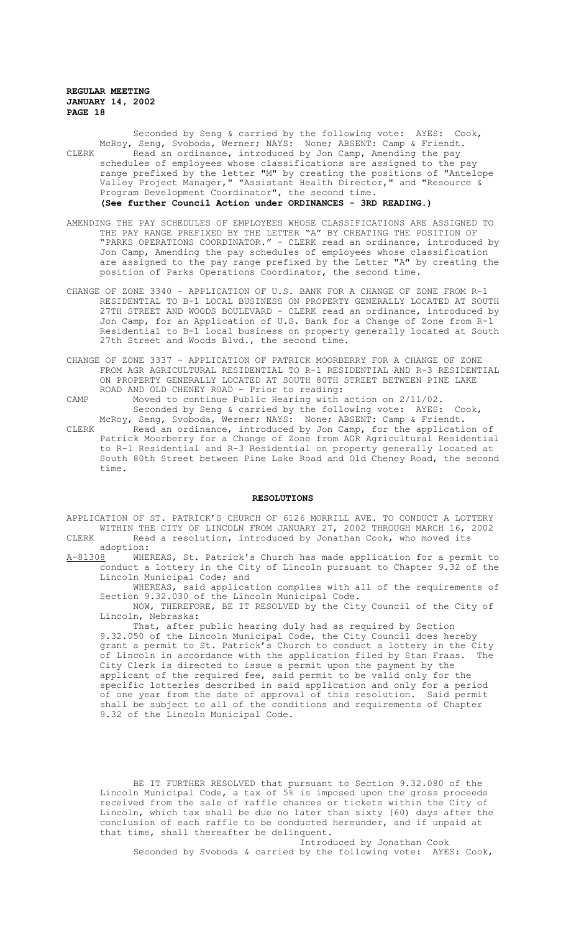Seconded by Seng & carried by the following vote: AYES: Cook, McRoy, Seng, Svoboda, Werner; NAYS: None; ABSENT: Camp & Friendt. CLERK Read an ordinance, introduced by Jon Camp, Amending the pay schedules of employees whose classifications are assigned to the pay range prefixed by the letter "M" by creating the positions of "Antelope Valley Project Manager," "Assistant Health Director," and "Resource & Program Development Coordinator", the second time. **(See further Council Action under ORDINANCES - 3RD READING.)**

- AMENDING THE PAY SCHEDULES OF EMPLOYEES WHOSE CLASSIFICATIONS ARE ASSIGNED TO THE PAY RANGE PREFIXED BY THE LETTER "A" BY CREATING THE POSITION OF "PARKS OPERATIONS COORDINATOR." - CLERK read an ordinance, introduced by Jon Camp, Amending the pay schedules of employees whose classification are assigned to the pay range prefixed by the Letter "A" by creating the position of Parks Operations Coordinator, the second time.
- CHANGE OF ZONE 3340 APPLICATION OF U.S. BANK FOR A CHANGE OF ZONE FROM R-1 RESIDENTIAL TO B-1 LOCAL BUSINESS ON PROPERTY GENERALLY LOCATED AT SOUTH 27TH STREET AND WOODS BOULEVARD - CLERK read an ordinance, introduced by Jon Camp, for an Application of U.S. Bank for a Change of Zone from R-1 Residential to B-1 local business on property generally located at South 27th Street and Woods Blvd., the second time.
- CHANGE OF ZONE 3337 APPLICATION OF PATRICK MOORBERRY FOR A CHANGE OF ZONE FROM AGR AGRICULTURAL RESIDENTIAL TO R-1 RESIDENTIAL AND R-3 RESIDENTIAL ON PROPERTY GENERALLY LOCATED AT SOUTH 80TH STREET BETWEEN PINE LAKE ROAD AND OLD CHENEY ROAD - Prior to reading:

CAMP Moved to continue Public Hearing with action on 2/11/02. Seconded by Seng & carried by the following vote: AYES: Cook, McRoy, Seng, Svoboda, Werner; NAYS: None; ABSENT: Camp & Friendt.

CLERK Read an ordinance, introduced by Jon Camp, for the application of Patrick Moorberry for a Change of Zone from AGR Agricultural Residential to R-1 Residential and R-3 Residential on property generally located at South 80th Street between Pine Lake Road and Old Cheney Road, the second time.

#### **RESOLUTIONS**

APPLICATION OF ST. PATRICK'S CHURCH OF 6126 MORRILL AVE. TO CONDUCT A LOTTERY WITHIN THE CITY OF LINCOLN FROM JANUARY 27, 2002 THROUGH MARCH 16, 2002 CLERK Read a resolution, introduced by Jonathan Cook, who moved its

adoption:<br>A-81308 WHE WHEREAS, St. Patrick's Church has made application for a permit to conduct a lottery in the City of Lincoln pursuant to Chapter 9.32 of the Lincoln Municipal Code; and

WHEREAS, said application complies with all of the requirements of Section 9.32.030 of the Lincoln Municipal Code.

NOW, THEREFORE, BE IT RESOLVED by the City Council of the City of Lincoln, Nebraska:

That, after public hearing duly had as required by Section 9.32.050 of the Lincoln Municipal Code, the City Council does hereby grant a permit to St. Patrick's Church to conduct a lottery in the City of Lincoln in accordance with the application filed by Stan Fraas. The City Clerk is directed to issue a permit upon the payment by the applicant of the required fee, said permit to be valid only for the specific lotteries described in said application and only for a period of one year from the date of approval of this resolution. Said permit shall be subject to all of the conditions and requirements of Chapter 9.32 of the Lincoln Municipal Code.

BE IT FURTHER RESOLVED that pursuant to Section 9.32.080 of the Lincoln Municipal Code, a tax of 5% is imposed upon the gross proceeds received from the sale of raffle chances or tickets within the City of Lincoln, which tax shall be due no later than sixty (60) days after the conclusion of each raffle to be conducted hereunder, and if unpaid at that time, shall thereafter be delinquent.

Introduced by Jonathan Cook Seconded by Svoboda & carried by the following vote: AYES: Cook,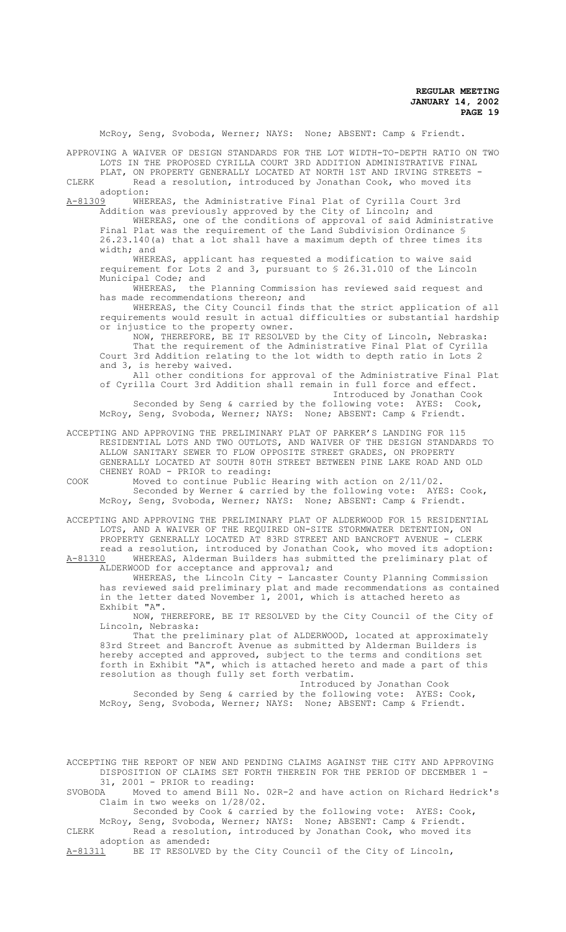McRoy, Seng, Svoboda, Werner; NAYS: None; ABSENT: Camp & Friendt. APPROVING A WAIVER OF DESIGN STANDARDS FOR THE LOT WIDTH-TO-DEPTH RATIO ON TWO LOTS IN THE PROPOSED CYRILLA COURT 3RD ADDITION ADMINISTRATIVE FINAL PLAT, ON PROPERTY GENERALLY LOCATED AT NORTH 1ST AND IRVING STREETS - CLERK Read a resolution, introduced by Jonathan Cook, who moved its adoption:<br>A-81309 WHE WHEREAS, the Administrative Final Plat of Cyrilla Court 3rd Addition was previously approved by the City of Lincoln; and WHEREAS, one of the conditions of approval of said Administrative Final Plat was the requirement of the Land Subdivision Ordinance § 26.23.140(a) that a lot shall have a maximum depth of three times its width; and WHEREAS, applicant has requested a modification to waive said requirement for Lots 2 and 3, pursuant to § 26.31.010 of the Lincoln Municipal Code; and WHEREAS, the Planning Commission has reviewed said request and has made recommendations thereon; and WHEREAS, the City Council finds that the strict application of all requirements would result in actual difficulties or substantial hardship or injustice to the property owner. NOW, THEREFORE, BE IT RESOLVED by the City of Lincoln, Nebraska: That the requirement of the Administrative Final Plat of Cyrilla Court 3rd Addition relating to the lot width to depth ratio in Lots 2 and 3, is hereby waived. All other conditions for approval of the Administrative Final Plat of Cyrilla Court 3rd Addition shall remain in full force and effect. Introduced by Jonathan Cook Seconded by Seng & carried by the following vote: AYES: Cook, McRoy, Seng, Svoboda, Werner; NAYS: None; ABSENT: Camp & Friendt. ACCEPTING AND APPROVING THE PRELIMINARY PLAT OF PARKER'S LANDING FOR 115 RESIDENTIAL LOTS AND TWO OUTLOTS, AND WAIVER OF THE DESIGN STANDARDS TO ALLOW SANITARY SEWER TO FLOW OPPOSITE STREET GRADES, ON PROPERTY GENERALLY LOCATED AT SOUTH 80TH STREET BETWEEN PINE LAKE ROAD AND OLD CHENEY ROAD - PRIOR to reading: COOK Moved to continue Public Hearing with action on 2/11/02. Seconded by Werner & carried by the following vote: AYES: Cook, McRoy, Seng, Svoboda, Werner; NAYS: None; ABSENT: Camp & Friendt. ACCEPTING AND APPROVING THE PRELIMINARY PLAT OF ALDERWOOD FOR 15 RESIDENTIAL LOTS, AND A WAIVER OF THE REQUIRED ON-SITE STORMWATER DETENTION, ON PROPERTY GENERALLY LOCATED AT 83RD STREET AND BANCROFT AVENUE - CLERK read a resolution, introduced by Jonathan Cook, who moved its adoption: A-81310 MHEREAS, Alderman Builders has submitted the preliminary plat of ALDERWOOD for acceptance and approval; and WHEREAS, the Lincoln City - Lancaster County Planning Commission has reviewed said preliminary plat and made recommendations as contained in the letter dated November 1, 2001, which is attached hereto as Exhibit "A". NOW, THEREFORE, BE IT RESOLVED by the City Council of the City of Lincoln, Nebraska: That the preliminary plat of ALDERWOOD, located at approximately 83rd Street and Bancroft Avenue as submitted by Alderman Builders is hereby accepted and approved, subject to the terms and conditions set forth in Exhibit "A", which is attached hereto and made a part of this resolution as though fully set forth verbatim. Introduced by Jonathan Cook Seconded by Seng & carried by the following vote: AYES: Cook, McRoy, Seng, Svoboda, Werner; NAYS: None; ABSENT: Camp & Friendt. ACCEPTING THE REPORT OF NEW AND PENDING CLAIMS AGAINST THE CITY AND APPROVING DISPOSITION OF CLAIMS SET FORTH THEREIN FOR THE PERIOD OF DECEMBER 1 - 31, 2001 - PRIOR to reading:<br>SVOBODA Moved to amend Bill No. Moved to amend Bill No. 02R-2 and have action on Richard Hedrick's Claim in two weeks on 1/28/02. Seconded by Cook & carried by the following vote: AYES: Cook,

McRoy, Seng, Svoboda, Werner; NAYS: None; ABSENT: Camp & Friendt.<br>CLERK Read a resolution, introduced by Jonathan Cook, who moved it Read a resolution, introduced by Jonathan Cook, who moved its adoption as amended:<br>A-81311 BE IT RESOLVED

BE IT RESOLVED by the City Council of the City of Lincoln,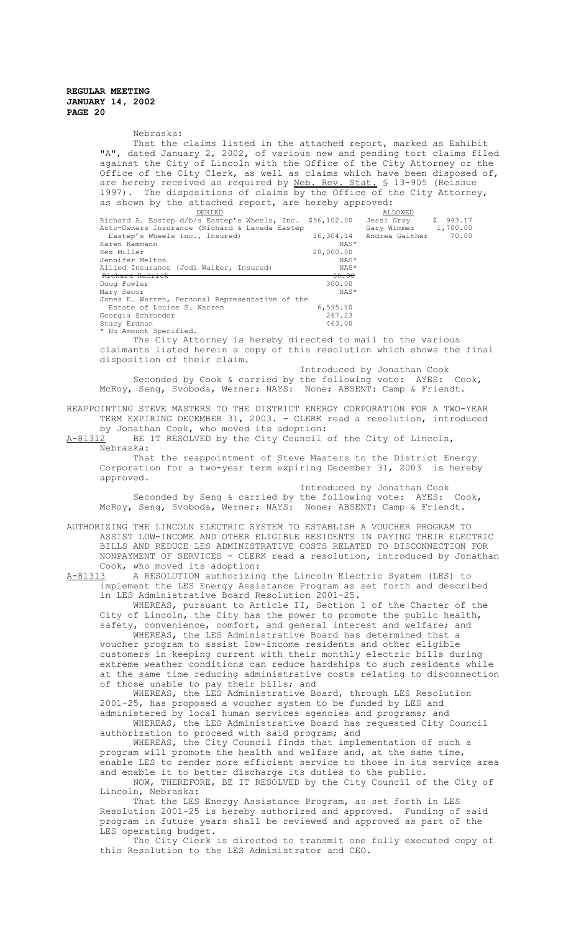Nebraska: That the claims listed in the attached report, marked as Exhibit "A", dated January 2, 2002, of various new and pending tort claims filed against the City of Lincoln with the Office of the City Attorney or the Office of the City Clerk, as well as claims which have been disposed of, are hereby received as required by Neb. Rev. Stat. § 13-905 (Reissue 1997). The dispositions of claims by the Office of the City Attorney, as shown by the attached report, are hereby approved:<br>
<u>DENIED</u><br>
Richard A. Eastep d/b/a Eastep's Wheels, Inc. \$56,102.00 Jessi Gray \$ 943.17<br>
Auto-Owners Insurance (Richard & Laveda Eastep Gary Wimmer 1,700.00 Richard A. Eastep d/b/a Eastep's Wheels, Inc. \$56,102.00 Jessi Gray \$ 943.17<br>Auto-Owners Insurance (Richard & Laveda Eastep Gary Wimmer 1,700.00<br>Eastep's Wheels Inc., Insured) 16,304.14 Andrea Gaither 70.00<br>Karen Kammann Auto-Owners Insurance (Richard & Laveda Eastep 16,304.14 Eastep's Wheels Inc., Insured) 16,304.14 Andrea Gaither 70.00 Karen Kammann NAS<br>Rex Miller 20,000.00 Rex Miller 20,000.00<br>
Rex Miller 20,000.00<br>
Jennifer Melton NAS Jennifer Melton NAS\* Allied Insurance (Jodi Walker, Insured) Richard Hedrick 50.00 example and the state of the state of the state of the state of the state of the state of the state of the state of the state of the state of the state of the state of the state of the state of the state of the state of th Mary Secor James E. Warren, Personal Representative of the Estate of Louise S. Warren 1992.<br>Carlo 6,595.10<br>orgia Schroeder (267.23) Georgia Schroeder 267.23<br>Stacy Erdman 267.23<br>263.00 Stacy Erdman \* No Amount Specified. The City Attorney is hereby directed to mail to the various claimants listed herein a copy of this resolution which shows the final disposition of their claim. Introduced by Jonathan Cook Seconded by Cook & carried by the following vote: AYES: Cook, McRoy, Seng, Svoboda, Werner; NAYS: None; ABSENT: Camp & Friendt. REAPPOINTING STEVE MASTERS TO THE DISTRICT ENERGY CORPORATION FOR A TWO-YEAR TERM EXPIRING DECEMBER 31, 2003. - CLERK read a resolution, introduced by Jonathan Cook, who moved its adoption:<br>A-81312 BE IT RESOLVED by the City Council BE IT RESOLVED by the City Council of the City of Lincoln, Nebraska: That the reappointment of Steve Masters to the District Energy Corporation for a two-year term expiring December 31, 2003 is hereby approved. Introduced by Jonathan Cook Seconded by Seng & carried by the following vote: AYES: Cook, McRoy, Seng, Svoboda, Werner; NAYS: None; ABSENT: Camp & Friendt. AUTHORIZING THE LINCOLN ELECTRIC SYSTEM TO ESTABLISH A VOUCHER PROGRAM TO ASSIST LOW-INCOME AND OTHER ELIGIBLE RESIDENTS IN PAYING THEIR ELECTRIC BILLS AND REDUCE LES ADMINISTRATIVE COSTS RELATED TO DISCONNECTION FOR NONPAYMENT OF SERVICES - CLERK read a resolution, introduced by Jonathan Cook, who moved its adoption:<br>A-81313 A RESOLUTION authorizing A-RESOLUTION authorizing the Lincoln Electric System (LES) to implement the LES Energy Assistance Program as set forth and described in LES Administrative Board Resolution 2001-25. WHEREAS, pursuant to Article II, Section 1 of the Charter of the City of Lincoln, the City has the power to promote the public health, safety, convenience, comfort, and general interest and welfare; and WHEREAS, the LES Administrative Board has determined that a voucher program to assist low-income residents and other eligible customers in keeping current with their monthly electric bills during extreme weather conditions can reduce hardships to such residents while at the same time reducing administrative costs relating to disconnection of those unable to pay their bills; and WHEREAS, the LES Administrative Board, through LES Resolution 2001-25, has proposed a voucher system to be funded by LES and administered by local human services agencies and programs; and WHEREAS, the LES Administrative Board has requested City Council authorization to proceed with said program; and WHEREAS, the City Council finds that implementation of such a program will promote the health and welfare and, at the same time, enable LES to render more efficient service to those in its service area and enable it to better discharge its duties to the public. NOW, THEREFORE, BE IT RESOLVED by the City Council of the City of Lincoln, Nebraska: That the LES Energy Assistance Program, as set forth in LES Resolution 2001-25 is hereby authorized and approved. Funding of said program in future years shall be reviewed and approved as part of the LES operating budget. The City Clerk is directed to transmit one fully executed copy of this Resolution to the LES Administrator and CEO.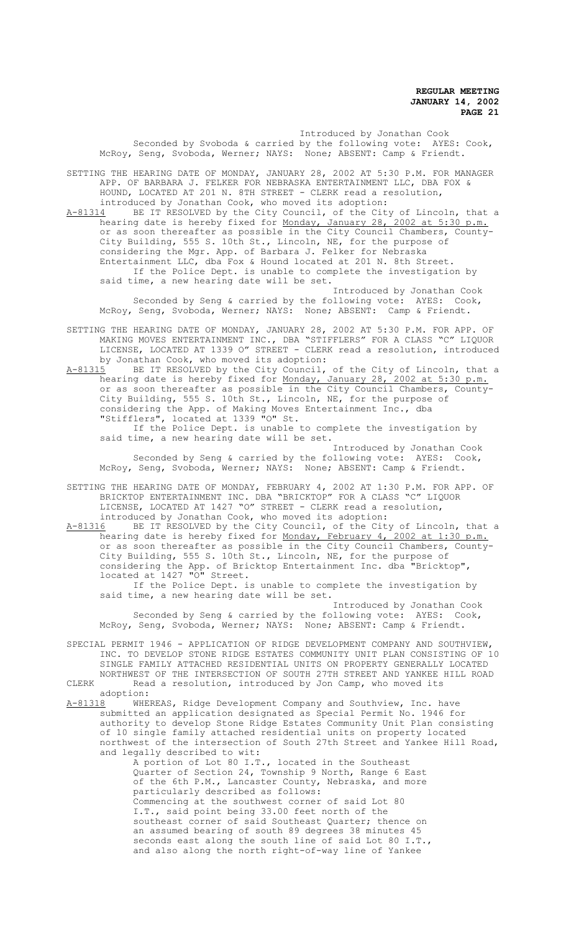Introduced by Jonathan Cook Seconded by Svoboda & carried by the following vote: AYES: Cook, McRoy, Seng, Svoboda, Werner; NAYS: None; ABSENT: Camp & Friendt.

SETTING THE HEARING DATE OF MONDAY, JANUARY 28, 2002 AT 5:30 P.M. FOR MANAGER APP. OF BARBARA J. FELKER FOR NEBRASKA ENTERTAINMENT LLC, DBA FOX & HOUND, LOCATED AT 201 N. 8TH STREET - CLERK read a resolution, introduced by Jonathan Cook, who moved its adoption:

A-81314 BE IT RESOLVED by the City Council, of the City of Lincoln, that a hearing date is hereby fixed for Monday, January 28, 2002 at 5:30 p.m. or as soon thereafter as possible in the City Council Chambers, County-City Building, 555 S. 10th St., Lincoln, NE, for the purpose of considering the Mgr. App. of Barbara J. Felker for Nebraska Entertainment LLC, dba Fox & Hound located at 201 N. 8th Street. If the Police Dept. is unable to complete the investigation by said time, a new hearing date will be set.

Introduced by Jonathan Cook Seconded by Seng & carried by the following vote: AYES: Cook, McRoy, Seng, Svoboda, Werner; NAYS: None; ABSENT: Camp & Friendt.

SETTING THE HEARING DATE OF MONDAY, JANUARY 28, 2002 AT 5:30 P.M. FOR APP. OF MAKING MOVES ENTERTAINMENT INC., DBA "STIFFLERS" FOR A CLASS "C" LIQUOR LICENSE, LOCATED AT 1339 O" STREET - CLERK read a resolution, introduced by Jonathan Cook, who moved its adoption:<br>A-81315 BE IT RESOLVED by the City Council,

BE IT RESOLVED by the City Council, of the City of Lincoln, that a hearing date is hereby fixed for Monday, January 28, 2002 at 5:30 p.m. or as soon thereafter as possible in the City Council Chambers, County-City Building, 555 S. 10th St., Lincoln, NE, for the purpose of considering the App. of Making Moves Entertainment Inc., dba "Stifflers", located at 1339 "O" St. If the Police Dept. is unable to complete the investigation by

said time, a new hearing date will be set.

Introduced by Jonathan Cook Seconded by Seng & carried by the following vote: AYES: Cook, McRoy, Seng, Svoboda, Werner; NAYS: None; ABSENT: Camp & Friendt.

- SETTING THE HEARING DATE OF MONDAY, FEBRUARY 4, 2002 AT 1:30 P.M. FOR APP. OF BRICKTOP ENTERTAINMENT INC. DBA "BRICKTOP" FOR A CLASS "C" LIQUOR LICENSE, LOCATED AT 1427 "O" STREET - CLERK read a resolution, introduced by Jonathan Cook, who moved its adoption:
- A-81316 BE IT RESOLVED by the City Council, of the City of Lincoln, that a hearing date is hereby fixed for Monday, February 4, 2002 at 1:30 p.m. or as soon thereafter as possible in the City Council Chambers, County-City Building, 555 S. 10th St., Lincoln, NE, for the purpose of considering the App. of Bricktop Entertainment Inc. dba "Bricktop", located at 1427 "O" Street.

If the Police Dept. is unable to complete the investigation by said time, a new hearing date will be set.

Introduced by Jonathan Cook Seconded by Seng & carried by the following vote: AYES: Cook, McRoy, Seng, Svoboda, Werner; NAYS: None; ABSENT: Camp & Friendt.

- SPECIAL PERMIT 1946 APPLICATION OF RIDGE DEVELOPMENT COMPANY AND SOUTHVIEW, INC. TO DEVELOP STONE RIDGE ESTATES COMMUNITY UNIT PLAN CONSISTING OF 10 SINGLE FAMILY ATTACHED RESIDENTIAL UNITS ON PROPERTY GENERALLY LOCATED NORTHWEST OF THE INTERSECTION OF SOUTH 27TH STREET AND YANKEE HILL ROAD CLERK Read a resolution, introduced by Jon Camp, who moved its
- adoption:<br>A-81318 WHEI WHEREAS, Ridge Development Company and Southview, Inc. have submitted an application designated as Special Permit No. 1946 for authority to develop Stone Ridge Estates Community Unit Plan consisting of 10 single family attached residential units on property located northwest of the intersection of South 27th Street and Yankee Hill Road, and legally described to wit:

A portion of Lot 80 I.T., located in the Southeast Quarter of Section 24, Township 9 North, Range 6 East of the 6th P.M., Lancaster County, Nebraska, and more particularly described as follows: Commencing at the southwest corner of said Lot 80 I.T., said point being 33.00 feet north of the southeast corner of said Southeast Quarter; thence on an assumed bearing of south 89 degrees 38 minutes 45 seconds east along the south line of said Lot 80 I.T., and also along the north right-of-way line of Yankee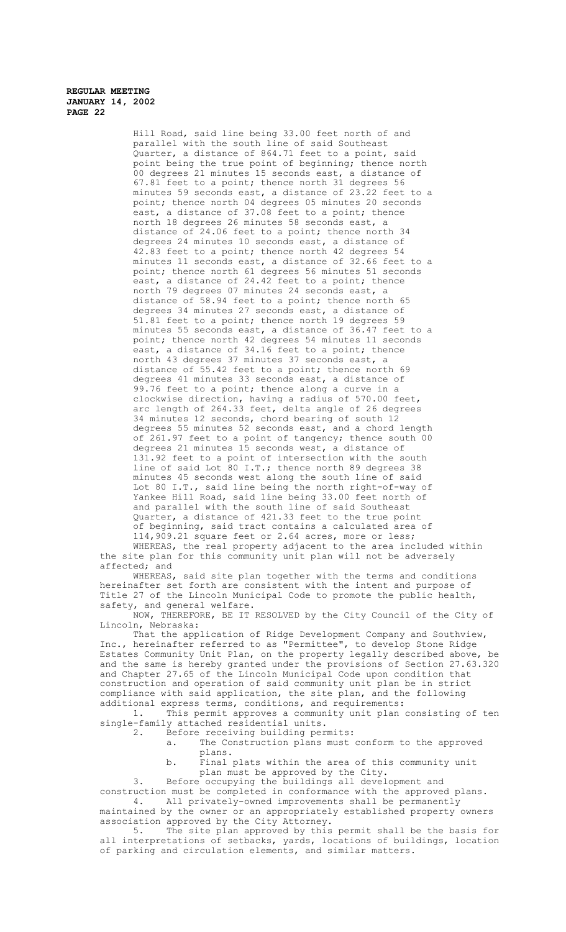> Hill Road, said line being 33.00 feet north of and parallel with the south line of said Southeast Quarter, a distance of 864.71 feet to a point, said point being the true point of beginning; thence north 00 degrees 21 minutes 15 seconds east, a distance of 67.81 feet to a point; thence north 31 degrees 56 minutes 59 seconds east, a distance of 23.22 feet to a point; thence north 04 degrees 05 minutes 20 seconds east, a distance of 37.08 feet to a point; thence north 18 degrees 26 minutes 58 seconds east, a distance of 24.06 feet to a point; thence north 34 degrees 24 minutes 10 seconds east, a distance of 42.83 feet to a point; thence north 42 degrees 54 minutes 11 seconds east, a distance of 32.66 feet to a point; thence north 61 degrees 56 minutes 51 seconds east, a distance of 24.42 feet to a point; thence north 79 degrees 07 minutes 24 seconds east, a distance of 58.94 feet to a point; thence north 65 degrees 34 minutes 27 seconds east, a distance of 51.81 feet to a point; thence north 19 degrees 59 minutes 55 seconds east, a distance of 36.47 feet to a point; thence north 42 degrees 54 minutes 11 seconds east, a distance of 34.16 feet to a point; thence north 43 degrees 37 minutes 37 seconds east, a distance of 55.42 feet to a point; thence north 69 degrees 41 minutes 33 seconds east, a distance of 99.76 feet to a point; thence along a curve in a clockwise direction, having a radius of 570.00 feet, arc length of 264.33 feet, delta angle of 26 degrees 34 minutes 12 seconds, chord bearing of south 12 degrees 55 minutes 52 seconds east, and a chord length of 261.97 feet to a point of tangency; thence south 00 degrees 21 minutes 15 seconds west, a distance of 131.92 feet to a point of intersection with the south line of said Lot 80 I.T.; thence north 89 degrees 38 minutes 45 seconds west along the south line of said Lot 80 I.T., said line being the north right-of-way of Yankee Hill Road, said line being 33.00 feet north of and parallel with the south line of said Southeast Quarter, a distance of 421.33 feet to the true point of beginning, said tract contains a calculated area of 114,909.21 square feet or 2.64 acres, more or less;

WHEREAS, the real property adjacent to the area included within the site plan for this community unit plan will not be adversely affected; and

WHEREAS, said site plan together with the terms and conditions hereinafter set forth are consistent with the intent and purpose of Title 27 of the Lincoln Municipal Code to promote the public health, safety, and general welfare.

NOW, THEREFORE, BE IT RESOLVED by the City Council of the City of Lincoln, Nebraska:

That the application of Ridge Development Company and Southview, Inc., hereinafter referred to as "Permittee", to develop Stone Ridge Estates Community Unit Plan, on the property legally described above, be and the same is hereby granted under the provisions of Section 27.63.320 and Chapter 27.65 of the Lincoln Municipal Code upon condition that construction and operation of said community unit plan be in strict compliance with said application, the site plan, and the following additional express terms, conditions, and requirements:

1. This permit approves a community unit plan consisting of ten single-family attached residential units.<br>2. Before receiving building per

Before receiving building permits:

- a. The Construction plans must conform to the approved plans.
- b. Final plats within the area of this community unit plan must be approved by the City.

3. Before occupying the buildings all development and

construction must be completed in conformance with the approved plans.<br>4. All privately-owned improvements shall be permanently All privately-owned improvements shall be permanently

maintained by the owner or an appropriately established property owners association approved by the City Attorney.

5. The site plan approved by this permit shall be the basis for all interpretations of setbacks, yards, locations of buildings, location of parking and circulation elements, and similar matters.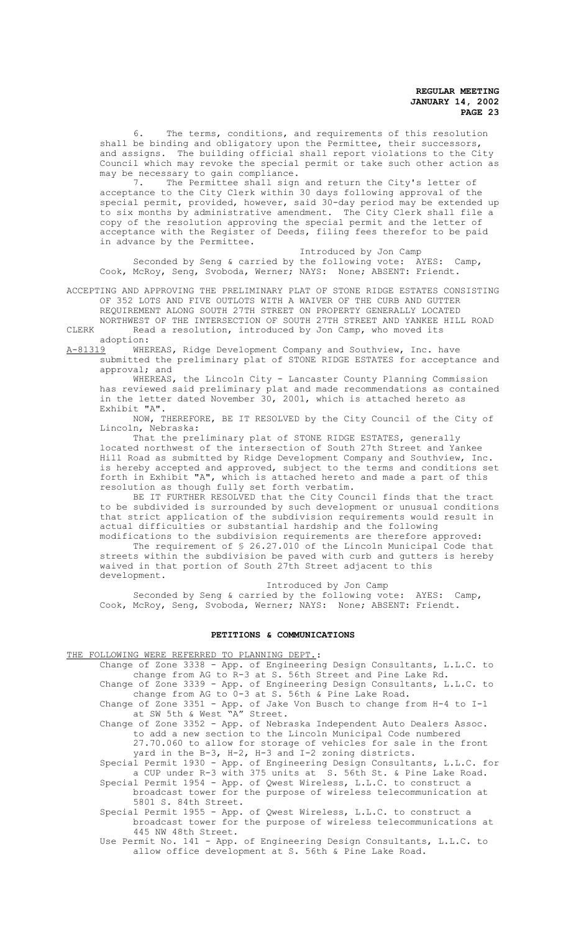6. The terms, conditions, and requirements of this resolution shall be binding and obligatory upon the Permittee, their successors, and assigns. The building official shall report violations to the City Council which may revoke the special permit or take such other action as may be necessary to gain compliance.<br>7. The Permittee shall sign

The Permittee shall sign and return the City's letter of acceptance to the City Clerk within 30 days following approval of the special permit, provided, however, said 30-day period may be extended up to six months by administrative amendment. The City Clerk shall file a copy of the resolution approving the special permit and the letter of acceptance with the Register of Deeds, filing fees therefor to be paid in advance by the Permittee.

Introduced by Jon Camp Seconded by Seng & carried by the following vote: AYES: Camp, Cook, McRoy, Seng, Svoboda, Werner; NAYS: None; ABSENT: Friendt.

ACCEPTING AND APPROVING THE PRELIMINARY PLAT OF STONE RIDGE ESTATES CONSISTING OF 352 LOTS AND FIVE OUTLOTS WITH A WAIVER OF THE CURB AND GUTTER REQUIREMENT ALONG SOUTH 27TH STREET ON PROPERTY GENERALLY LOCATED

NORTHWEST OF THE INTERSECTION OF SOUTH 27TH STREET AND YANKEE HILL ROAD CLERK Read a resolution, introduced by Jon Camp, who moved its

adoption:<br>A-81319 WHE

WHEREAS, Ridge Development Company and Southview, Inc. have

submitted the preliminary plat of STONE RIDGE ESTATES for acceptance and approval; and

WHEREAS, the Lincoln City - Lancaster County Planning Commission has reviewed said preliminary plat and made recommendations as contained in the letter dated November 30, 2001, which is attached hereto as Exhibit "A".

NOW, THEREFORE, BE IT RESOLVED by the City Council of the City of Lincoln, Nebraska:

That the preliminary plat of STONE RIDGE ESTATES, generally located northwest of the intersection of South 27th Street and Yankee Hill Road as submitted by Ridge Development Company and Southview, Inc. is hereby accepted and approved, subject to the terms and conditions set forth in Exhibit "A", which is attached hereto and made a part of this resolution as though fully set forth verbatim.

BE IT FURTHER RESOLVED that the City Council finds that the tract to be subdivided is surrounded by such development or unusual conditions that strict application of the subdivision requirements would result in actual difficulties or substantial hardship and the following

modifications to the subdivision requirements are therefore approved: The requirement of § 26.27.010 of the Lincoln Municipal Code that streets within the subdivision be paved with curb and gutters is hereby waived in that portion of South 27th Street adjacent to this development.

Introduced by Jon Camp

Seconded by Seng & carried by the following vote: AYES: Camp, Cook, McRoy, Seng, Svoboda, Werner; NAYS: None; ABSENT: Friendt.

## **PETITIONS & COMMUNICATIONS**

## THE FOLLOWING WERE REFERRED TO PLANNING DEPT.:

Change of Zone 3338 - App. of Engineering Design Consultants, L.L.C. to change from AG to R-3 at S. 56th Street and Pine Lake Rd. Change of Zone 3339 - App. of Engineering Design Consultants, L.L.C. to change from AG to 0-3 at S. 56th & Pine Lake Road.

Change of Zone 3351 - App. of Jake Von Busch to change from H-4 to I-1 at SW 5th & West "A" Street.

Change of Zone 3352 - App. of Nebraska Independent Auto Dealers Assoc. to add a new section to the Lincoln Municipal Code numbered 27.70.060 to allow for storage of vehicles for sale in the front yard in the B-3, H-2, H-3 and I-2 zoning districts.

Special Permit 1930 - App. of Engineering Design Consultants, L.L.C. for a CUP under R-3 with 375 units at S. 56th St. & Pine Lake Road.

Special Permit 1954 - App. of Qwest Wireless, L.L.C. to construct a broadcast tower for the purpose of wireless telecommunication at 5801 S. 84th Street.

Special Permit 1955 - App. of Qwest Wireless, L.L.C. to construct a broadcast tower for the purpose of wireless telecommunications at 445 NW 48th Street.

Use Permit No. 141 - App. of Engineering Design Consultants, L.L.C. to allow office development at S. 56th & Pine Lake Road.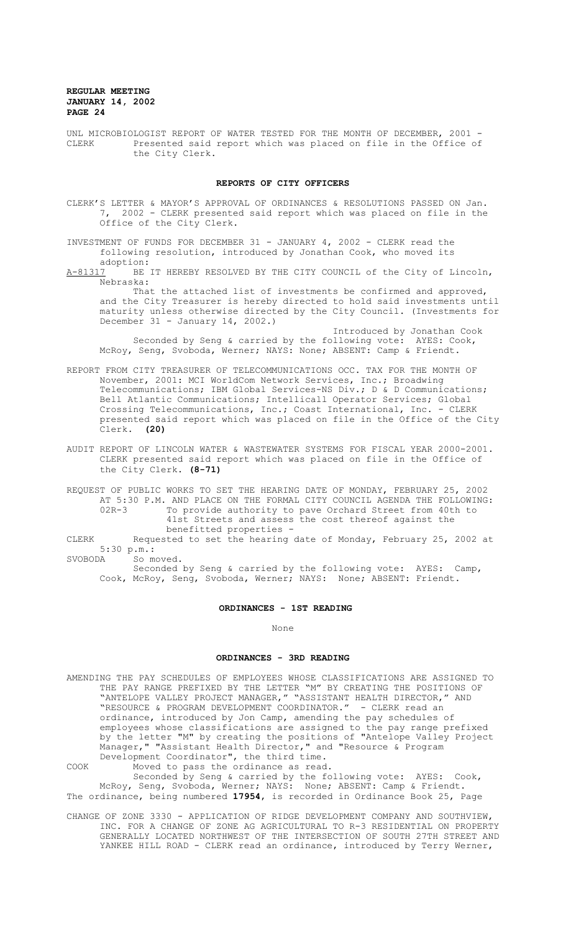UNL MICROBIOLOGIST REPORT OF WATER TESTED FOR THE MONTH OF DECEMBER, 2001 -<br>CLERK Presented said report which was placed on file in the Office of Presented said report which was placed on file in the Office of the City Clerk.

#### **REPORTS OF CITY OFFICERS**

- CLERK'S LETTER & MAYOR'S APPROVAL OF ORDINANCES & RESOLUTIONS PASSED ON Jan. 7, 2002 - CLERK presented said report which was placed on file in the Office of the City Clerk.
- INVESTMENT OF FUNDS FOR DECEMBER 31 JANUARY 4, 2002 CLERK read the following resolution, introduced by Jonathan Cook, who moved its
- adoption:<br>A-81317 BE BE IT HEREBY RESOLVED BY THE CITY COUNCIL of the City of Lincoln, Nebraska:

That the attached list of investments be confirmed and approved, and the City Treasurer is hereby directed to hold said investments until maturity unless otherwise directed by the City Council. (Investments for December 31 - January 14, 2002.)

- Introduced by Jonathan Cook Seconded by Seng & carried by the following vote: AYES: Cook, McRoy, Seng, Svoboda, Werner; NAYS: None; ABSENT: Camp & Friendt.
- REPORT FROM CITY TREASURER OF TELECOMMUNICATIONS OCC. TAX FOR THE MONTH OF November, 2001: MCI WorldCom Network Services, Inc.; Broadwing Telecommunications; IBM Global Services-NS Div.; D & D Communications; Bell Atlantic Communications; Intellicall Operator Services; Global Crossing Telecommunications, Inc.; Coast International, Inc. - CLERK presented said report which was placed on file in the Office of the City Clerk. **(20)**
- AUDIT REPORT OF LINCOLN WATER & WASTEWATER SYSTEMS FOR FISCAL YEAR 2000-2001. CLERK presented said report which was placed on file in the Office of the City Clerk. **(8-71)**

REQUEST OF PUBLIC WORKS TO SET THE HEARING DATE OF MONDAY, FEBRUARY 25, 2002 AT 5:30 P.M. AND PLACE ON THE FORMAL CITY COUNCIL AGENDA THE FOLLOWING:<br>02R-3 To provide authority to pave Orchard Street from 40th to 02R-3 To provide authority to pave Orchard Street from 40th to 41st Streets and assess the cost thereof against the benefitted properties -

CLERK Requested to set the hearing date of Monday, February 25, 2002 at 5:30 p.m.:<br>SVOBODA Som So moved.

Seconded by Seng & carried by the following vote: AYES: Camp, Cook, McRoy, Seng, Svoboda, Werner; NAYS: None; ABSENT: Friendt.

## **ORDINANCES - 1ST READING**

None

#### **ORDINANCES - 3RD READING**

AMENDING THE PAY SCHEDULES OF EMPLOYEES WHOSE CLASSIFICATIONS ARE ASSIGNED TO THE PAY RANGE PREFIXED BY THE LETTER "M" BY CREATING THE POSITIONS OF "ANTELOPE VALLEY PROJECT MANAGER," "ASSISTANT HEALTH DIRECTOR," AND<br>"RESOURCE & PROGRAM DEVELOPMENT COORDINATOR." - CLERK read an "RESOURCE & PROGRAM DEVELOPMENT COORDINATOR." ordinance, introduced by Jon Camp, amending the pay schedules of employees whose classifications are assigned to the pay range prefixed by the letter "M" by creating the positions of "Antelope Valley Project Manager," "Assistant Health Director," and "Resource & Program Development Coordinator", the third time. COOK Moved to pass the ordinance as read.

Seconded by Seng & carried by the following vote: AYES: Cook, McRoy, Seng, Svoboda, Werner; NAYS: None; ABSENT: Camp & Friendt. The ordinance, being numbered **17954**, is recorded in Ordinance Book 25, Page

CHANGE OF ZONE 3330 - APPLICATION OF RIDGE DEVELOPMENT COMPANY AND SOUTHVIEW, INC. FOR A CHANGE OF ZONE AG AGRICULTURAL TO R-3 RESIDENTIAL ON PROPERTY GENERALLY LOCATED NORTHWEST OF THE INTERSECTION OF SOUTH 27TH STREET AND YANKEE HILL ROAD - CLERK read an ordinance, introduced by Terry Werner,